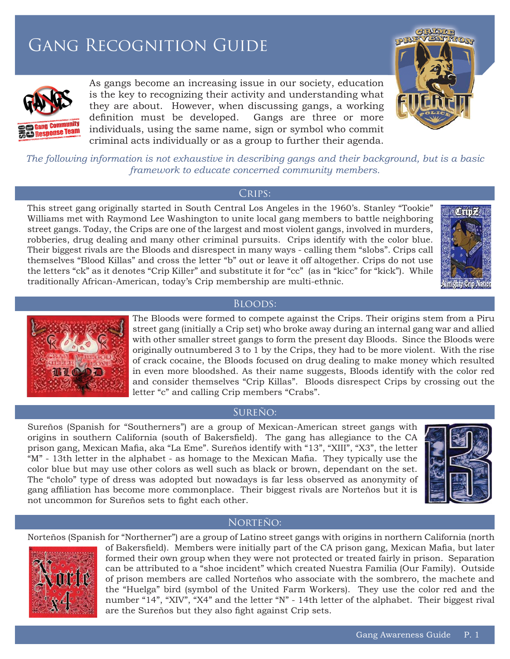# Gang Recognition Guide



As gangs become an increasing issue in our society, education is the key to recognizing their activity and understanding what they are about. However, when discussing gangs, a working definition must be developed. Gangs are three or more individuals, using the same name, sign or symbol who commit criminal acts individually or as a group to further their agenda.



*The following information is not exhaustive in describing gangs and their background, but is a basic framework to educate concerned community members.*

#### CRIPS:

This street gang originally started in South Central Los Angeles in the 1960's. Stanley "Tookie" Williams met with Raymond Lee Washington to unite local gang members to battle neighboring street gangs. Today, the Crips are one of the largest and most violent gangs, involved in murders, robberies, drug dealing and many other criminal pursuits. Crips identify with the color blue. Their biggest rivals are the Bloods and disrespect in many ways - calling them "slobs". Crips call themselves "Blood Killas" and cross the letter "b" out or leave it off altogether. Crips do not use the letters "ck" as it denotes "Crip Killer" and substitute it for "cc" (as in "kicc" for "kick"). While traditionally African-American, today's Crip membership are multi-ethnic.



Bloods:

The Bloods were formed to compete against the Crips. Their origins stem from a Piru street gang (initially a Crip set) who broke away during an internal gang war and allied with other smaller street gangs to form the present day Bloods. Since the Bloods were originally outnumbered 3 to 1 by the Crips, they had to be more violent. With the rise of crack cocaine, the Bloods focused on drug dealing to make money which resulted in even more bloodshed. As their name suggests, Bloods identify with the color red and consider themselves "Crip Killas". Bloods disrespect Crips by crossing out the letter "c" and calling Crip members "Crabs".

# Sureño:

Sureños (Spanish for "Southerners") are a group of Mexican-American street gangs with origins in southern California (south of Bakersfield). The gang has allegiance to the CA prison gang, Mexican Mafia, aka "La Eme". Sureños identify with "13", "XIII", "X3", the letter  $M$ " - 13th letter in the alphabet - as homage to the Mexican Mafia. They typically use the color blue but may use other colors as well such as black or brown, dependant on the set. The "cholo" type of dress was adopted but nowadays is far less observed as anonymity of gang affiliation has become more commonplace. Their biggest rivals are Norteños but it is not uncommon for Sureños sets to fight each other.



### Norteño:

Norteños (Spanish for "Northerner") are a group of Latino street gangs with origins in northern California (north



of Bakersfield). Members were initially part of the CA prison gang, Mexican Mafia, but later formed their own group when they were not protected or treated fairly in prison. Separation can be attributed to a "shoe incident" which created Nuestra Familia (Our Family). Outside of prison members are called Norteños who associate with the sombrero, the machete and the "Huelga" bird (symbol of the United Farm Workers). They use the color red and the number "14", "XIV", "X4" and the letter "N" - 14th letter of the alphabet. Their biggest rival are the Sureños but they also fight against Crip sets.